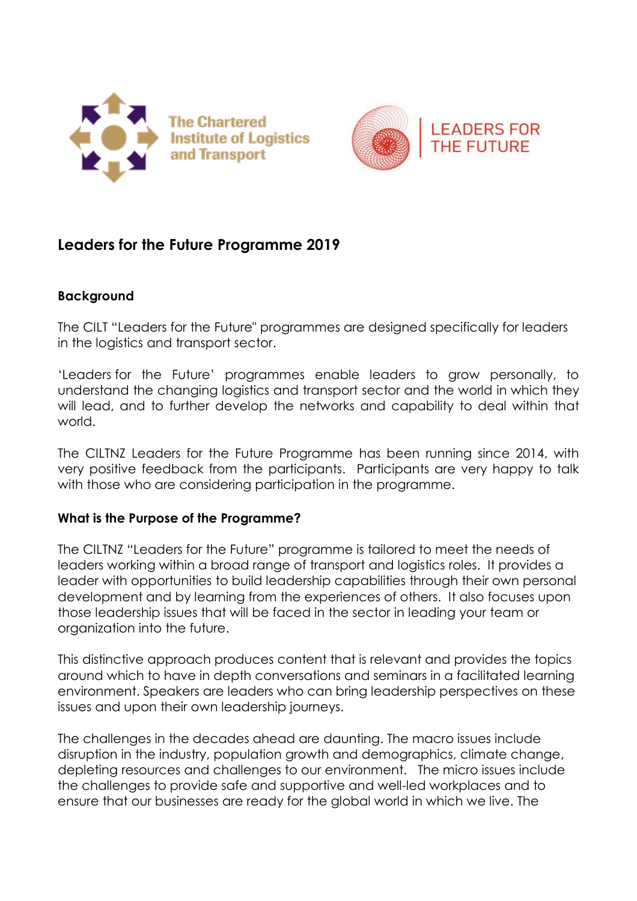



# **Leaders for the Future Programme 2019**

#### **Background**

The CILT "Leaders for the Future" programmes are designed specifically for leaders in the logistics and transport sector.

'Leaders for the Future' programmes enable leaders to grow personally, to understand the changing logistics and transport sector and the world in which they will lead, and to further develop the networks and capability to deal within that world.

The CILTNZ Leaders for the Future Programme has been running since 2014, with very positive feedback from the participants. Participants are very happy to talk with those who are considering participation in the programme.

#### **What is the Purpose of the Programme?**

The CILTNZ "Leaders for the Future" programme is tailored to meet the needs of leaders working within a broad range of transport and logistics roles. It provides a leader with opportunities to build leadership capabilities through their own personal development and by learning from the experiences of others. It also focuses upon those leadership issues that will be faced in the sector in leading your team or organization into the future.

This distinctive approach produces content that is relevant and provides the topics around which to have in depth conversations and seminars in a facilitated learning environment. Speakers are leaders who can bring leadership perspectives on these issues and upon their own leadership journeys.

The challenges in the decades ahead are daunting. The macro issues include disruption in the industry, population growth and demographics, climate change, depleting resources and challenges to our environment. The micro issues include the challenges to provide safe and supportive and well-led workplaces and to ensure that our businesses are ready for the global world in which we live. The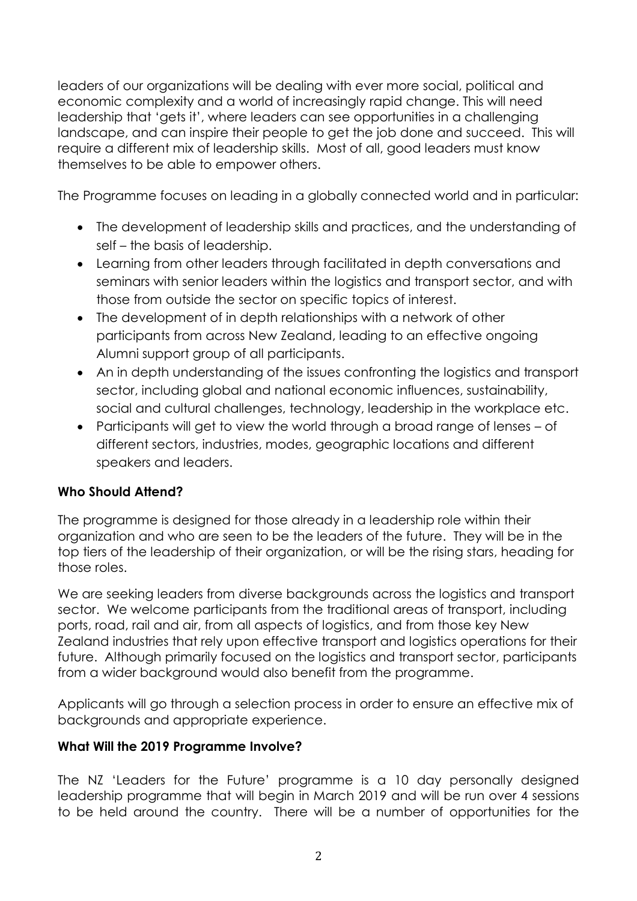leaders of our organizations will be dealing with ever more social, political and economic complexity and a world of increasingly rapid change. This will need leadership that 'gets it', where leaders can see opportunities in a challenging landscape, and can inspire their people to get the job done and succeed. This will require a different mix of leadership skills. Most of all, good leaders must know themselves to be able to empower others.

The Programme focuses on leading in a globally connected world and in particular:

- The development of leadership skills and practices, and the understanding of self – the basis of leadership.
- Learning from other leaders through facilitated in depth conversations and seminars with senior leaders within the logistics and transport sector, and with those from outside the sector on specific topics of interest.
- The development of in depth relationships with a network of other participants from across New Zealand, leading to an effective ongoing Alumni support group of all participants.
- An in depth understanding of the issues confronting the logistics and transport sector, including global and national economic influences, sustainability, social and cultural challenges, technology, leadership in the workplace etc.
- Participants will get to view the world through a broad range of lenses of different sectors, industries, modes, geographic locations and different speakers and leaders.

## **Who Should Attend?**

The programme is designed for those already in a leadership role within their organization and who are seen to be the leaders of the future. They will be in the top tiers of the leadership of their organization, or will be the rising stars, heading for those roles.

We are seeking leaders from diverse backgrounds across the logistics and transport sector. We welcome participants from the traditional areas of transport, including ports, road, rail and air, from all aspects of logistics, and from those key New Zealand industries that rely upon effective transport and logistics operations for their future. Although primarily focused on the logistics and transport sector, participants from a wider background would also benefit from the programme.

Applicants will go through a selection process in order to ensure an effective mix of backgrounds and appropriate experience.

#### **What Will the 2019 Programme Involve?**

The NZ 'Leaders for the Future' programme is a 10 day personally designed leadership programme that will begin in March 2019 and will be run over 4 sessions to be held around the country. There will be a number of opportunities for the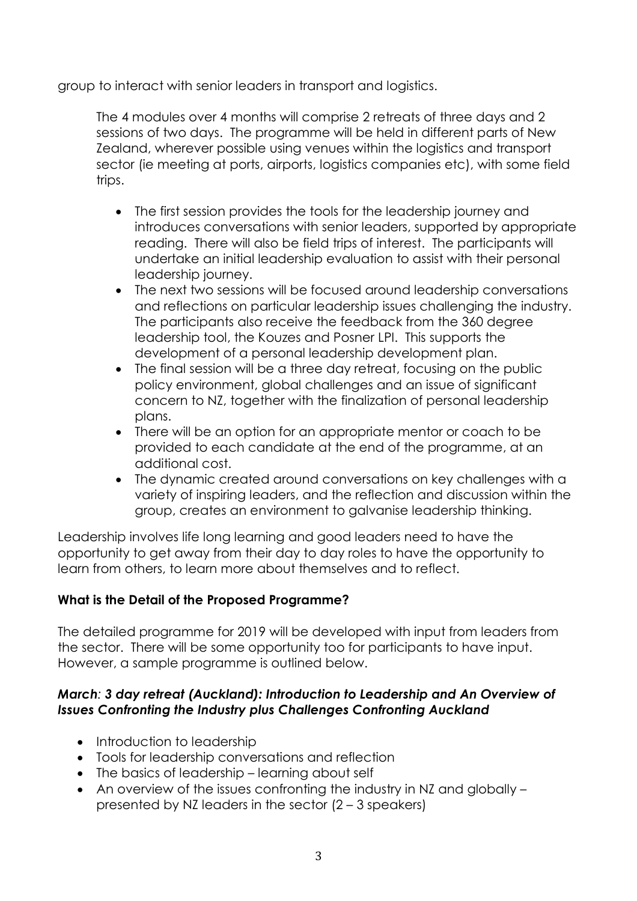group to interact with senior leaders in transport and logistics.

The 4 modules over 4 months will comprise 2 retreats of three days and 2 sessions of two days. The programme will be held in different parts of New Zealand, wherever possible using venues within the logistics and transport sector (ie meeting at ports, airports, logistics companies etc), with some field trips.

- The first session provides the tools for the leadership journey and introduces conversations with senior leaders, supported by appropriate reading. There will also be field trips of interest. The participants will undertake an initial leadership evaluation to assist with their personal leadership journey.
- The next two sessions will be focused around leadership conversations and reflections on particular leadership issues challenging the industry. The participants also receive the feedback from the 360 degree leadership tool, the Kouzes and Posner LPI. This supports the development of a personal leadership development plan.
- The final session will be a three day retreat, focusing on the public policy environment, global challenges and an issue of significant concern to NZ, together with the finalization of personal leadership plans.
- There will be an option for an appropriate mentor or coach to be provided to each candidate at the end of the programme, at an additional cost.
- The dynamic created around conversations on key challenges with a variety of inspiring leaders, and the reflection and discussion within the group, creates an environment to galvanise leadership thinking.

Leadership involves life long learning and good leaders need to have the opportunity to get away from their day to day roles to have the opportunity to learn from others, to learn more about themselves and to reflect.

## **What is the Detail of the Proposed Programme?**

The detailed programme for 2019 will be developed with input from leaders from the sector. There will be some opportunity too for participants to have input. However, a sample programme is outlined below.

#### *March: 3 day retreat (Auckland): Introduction to Leadership and An Overview of Issues Confronting the Industry plus Challenges Confronting Auckland*

- Introduction to leadership
- Tools for leadership conversations and reflection
- The basics of leadership learning about self
- An overview of the issues confronting the industry in NZ and globally presented by NZ leaders in the sector (2 – 3 speakers)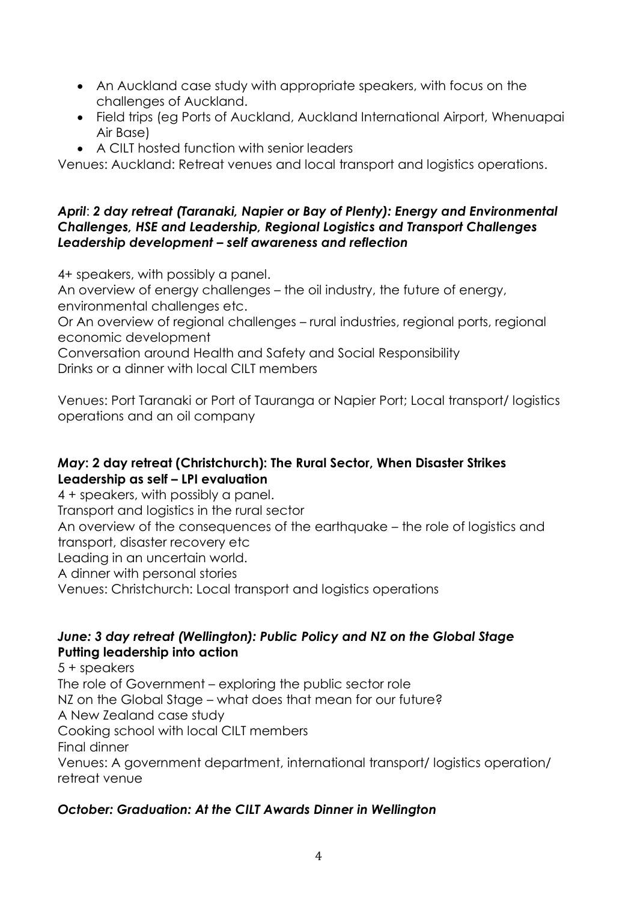- An Auckland case study with appropriate speakers, with focus on the challenges of Auckland.
- Field trips (eg Ports of Auckland, Auckland International Airport, Whenuapai Air Base)
- A CILT hosted function with senior leaders

Venues: Auckland: Retreat venues and local transport and logistics operations.

#### *April*: *2 day retreat (Taranaki, Napier or Bay of Plenty): Energy and Environmental Challenges, HSE and Leadership, Regional Logistics and Transport Challenges Leadership development – self awareness and reflection*

4+ speakers, with possibly a panel.

An overview of energy challenges – the oil industry, the future of energy, environmental challenges etc.

Or An overview of regional challenges – rural industries, regional ports, regional economic development

Conversation around Health and Safety and Social Responsibility Drinks or a dinner with local CILT members

Venues: Port Taranaki or Port of Tauranga or Napier Port; Local transport/ logistics operations and an oil company

## *May***: 2 day retreat (Christchurch): The Rural Sector, When Disaster Strikes Leadership as self – LPI evaluation**

4 + speakers, with possibly a panel. Transport and logistics in the rural sector An overview of the consequences of the earthquake – the role of logistics and transport, disaster recovery etc Leading in an uncertain world. A dinner with personal stories Venues: Christchurch: Local transport and logistics operations

#### *June: 3 day retreat (Wellington): Public Policy and NZ on the Global Stage*  **Putting leadership into action**

5 + speakers The role of Government – exploring the public sector role NZ on the Global Stage – what does that mean for our future? A New Zealand case study Cooking school with local CILT members Final dinner Venues: A government department, international transport/ logistics operation/ retreat venue

## *October: Graduation: At the CILT Awards Dinner in Wellington*